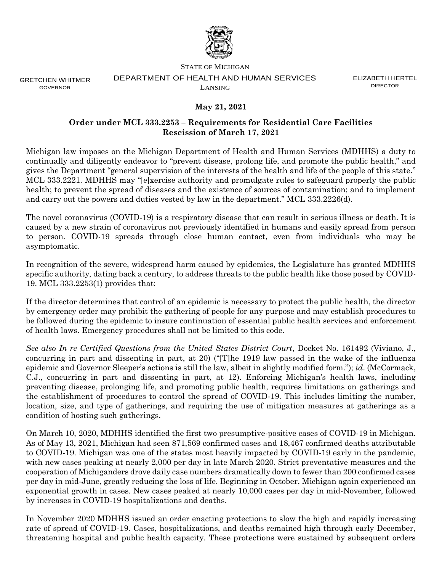

STATE OF MICHIGAN

GRETCHEN WHITMER GOVERNOR

## DEPARTMENT OF HEALTH AND HUMAN SERVICES LANSING

ELIZABETH HERTEL DIRECTOR

## **May 21, 2021**

## **Order under MCL 333.2253 – Requirements for Residential Care Facilities Rescission of March 17, 2021**

Michigan law imposes on the Michigan Department of Health and Human Services (MDHHS) a duty to continually and diligently endeavor to "prevent disease, prolong life, and promote the public health," and gives the Department "general supervision of the interests of the health and life of the people of this state." MCL 333.2221. MDHHS may "[e]xercise authority and promulgate rules to safeguard properly the public health; to prevent the spread of diseases and the existence of sources of contamination; and to implement and carry out the powers and duties vested by law in the department." MCL 333.2226(d).

The novel coronavirus (COVID-19) is a respiratory disease that can result in serious illness or death. It is caused by a new strain of coronavirus not previously identified in humans and easily spread from person to person. COVID-19 spreads through close human contact, even from individuals who may be asymptomatic.

In recognition of the severe, widespread harm caused by epidemics, the Legislature has granted MDHHS specific authority, dating back a century, to address threats to the public health like those posed by COVID-19. MCL 333.2253(1) provides that:

If the director determines that control of an epidemic is necessary to protect the public health, the director by emergency order may prohibit the gathering of people for any purpose and may establish procedures to be followed during the epidemic to insure continuation of essential public health services and enforcement of health laws. Emergency procedures shall not be limited to this code.

*See also In re Certified Questions from the United States District Court*, Docket No. 161492 (Viviano, J., concurring in part and dissenting in part, at 20) ("[T]he 1919 law passed in the wake of the influenza epidemic and Governor Sleeper's actions is still the law, albeit in slightly modified form."); *id*. (McCormack, C.J., concurring in part and dissenting in part, at 12). Enforcing Michigan's health laws, including preventing disease, prolonging life, and promoting public health, requires limitations on gatherings and the establishment of procedures to control the spread of COVID-19. This includes limiting the number, location, size, and type of gatherings, and requiring the use of mitigation measures at gatherings as a condition of hosting such gatherings.

On March 10, 2020, MDHHS identified the first two presumptive-positive cases of COVID-19 in Michigan. As of May 13, 2021, Michigan had seen 871,569 confirmed cases and 18,467 confirmed deaths attributable to COVID-19. Michigan was one of the states most heavily impacted by COVID-19 early in the pandemic, with new cases peaking at nearly 2,000 per day in late March 2020. Strict preventative measures and the cooperation of Michiganders drove daily case numbers dramatically down to fewer than 200 confirmed cases per day in mid-June, greatly reducing the loss of life. Beginning in October, Michigan again experienced an exponential growth in cases. New cases peaked at nearly 10,000 cases per day in mid-November, followed by increases in COVID-19 hospitalizations and deaths.

In November 2020 MDHHS issued an order enacting protections to slow the high and rapidly increasing rate of spread of COVID-19. Cases, hospitalizations, and deaths remained high through early December, threatening hospital and public health capacity. These protections were sustained by subsequent orders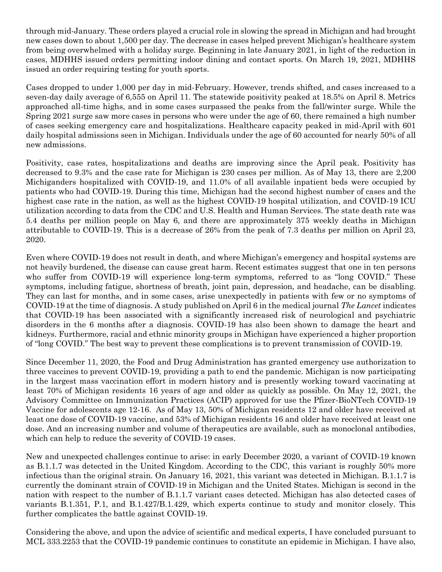through mid-January. These orders played a crucial role in slowing the spread in Michigan and had brought new cases down to about 1,500 per day. The decrease in cases helped prevent Michigan's healthcare system from being overwhelmed with a holiday surge. Beginning in late January 2021, in light of the reduction in cases, MDHHS issued orders permitting indoor dining and contact sports. On March 19, 2021, MDHHS issued an order requiring testing for youth sports.

Cases dropped to under 1,000 per day in mid-February. However, trends shifted, and cases increased to a seven-day daily average of 6,555 on April 11. The statewide positivity peaked at 18.5% on April 8. Metrics approached all-time highs, and in some cases surpassed the peaks from the fall/winter surge. While the Spring 2021 surge saw more cases in persons who were under the age of 60, there remained a high number of cases seeking emergency care and hospitalizations. Healthcare capacity peaked in mid-April with 601 daily hospital admissions seen in Michigan. Individuals under the age of 60 accounted for nearly 50% of all new admissions.

Positivity, case rates, hospitalizations and deaths are improving since the April peak. Positivity has decreased to 9.3% and the case rate for Michigan is 230 cases per million. As of May 13, there are 2,200 Michiganders hospitalized with COVID-19, and 11.0% of all available inpatient beds were occupied by patients who had COVID-19. During this time, Michigan had the second highest number of cases and the highest case rate in the nation, as well as the highest COVID-19 hospital utilization, and COVID-19 ICU utilization according to data from the CDC and U.S. Health and Human Services. The state death rate was 5.4 deaths per million people on May 6, and there are approximately 375 weekly deaths in Michigan attributable to COVID-19. This is a decrease of 26% from the peak of 7.3 deaths per million on April 23, 2020.

Even where COVID-19 does not result in death, and where Michigan's emergency and hospital systems are not heavily burdened, the disease can cause great harm. Recent estimates suggest that one in ten persons who suffer from COVID-19 will experience long-term symptoms, referred to as "long COVID." These symptoms, including fatigue, shortness of breath, joint pain, depression, and headache, can be disabling. They can last for months, and in some cases, arise unexpectedly in patients with few or no symptoms of COVID-19 at the time of diagnosis. A study published on April 6 in the medical journal *The Lancet* indicates that COVID-19 has been associated with a significantly increased risk of neurological and psychiatric disorders in the 6 months after a diagnosis. COVID-19 has also been shown to damage the heart and kidneys. Furthermore, racial and ethnic minority groups in Michigan have experienced a higher proportion of "long COVID." The best way to prevent these complications is to prevent transmission of COVID-19.

Since December 11, 2020, the Food and Drug Administration has granted emergency use authorization to three vaccines to prevent COVID-19, providing a path to end the pandemic. Michigan is now participating in the largest mass vaccination effort in modern history and is presently working toward vaccinating at least 70% of Michigan residents 16 years of age and older as quickly as possible. On May 12, 2021, the Advisory Committee on Immunization Practices (ACIP) approved for use the Pfizer-BioNTech COVID-19 Vaccine for adolescents age 12-16. As of May 13, 50% of Michigan residents 12 and older have received at least one dose of COVID-19 vaccine, and 53% of Michigan residents 16 and older have received at least one dose. And an increasing number and volume of therapeutics are available, such as monoclonal antibodies, which can help to reduce the severity of COVID-19 cases.

New and unexpected challenges continue to arise: in early December 2020, a variant of COVID-19 known as B.1.1.7 was detected in the United Kingdom. According to the CDC, this variant is roughly 50% more infectious than the original strain. On January 16, 2021, this variant was detected in Michigan. B.1.1.7 is currently the dominant strain of COVID-19 in Michigan and the United States. Michigan is second in the nation with respect to the number of B.1.1.7 variant cases detected. Michigan has also detected cases of variants B.1.351, P.1, and B.1.427/B.1.429, which experts continue to study and monitor closely. This further complicates the battle against COVID-19.

Considering the above, and upon the advice of scientific and medical experts, I have concluded pursuant to MCL 333.2253 that the COVID-19 pandemic continues to constitute an epidemic in Michigan. I have also,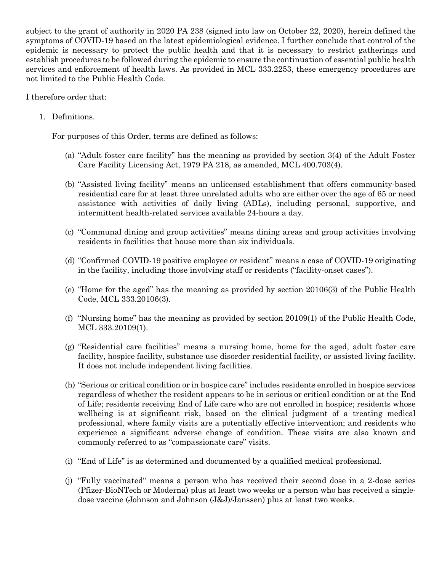subject to the grant of authority in 2020 PA 238 (signed into law on October 22, 2020), herein defined the symptoms of COVID-19 based on the latest epidemiological evidence. I further conclude that control of the epidemic is necessary to protect the public health and that it is necessary to restrict gatherings and establish procedures to be followed during the epidemic to ensure the continuation of essential public health services and enforcement of health laws. As provided in MCL 333.2253, these emergency procedures are not limited to the Public Health Code.

I therefore order that:

1. Definitions.

For purposes of this Order, terms are defined as follows:

- (a) "Adult foster care facility" has the meaning as provided by section 3(4) of the Adult Foster Care Facility Licensing Act, 1979 PA 218, as amended, MCL 400.703(4).
- (b) "Assisted living facility" means an unlicensed establishment that offers community-based residential care for at least three unrelated adults who are either over the age of 65 or need assistance with activities of daily living (ADLs), including personal, supportive, and intermittent health-related services available 24-hours a day.
- (c) "Communal dining and group activities" means dining areas and group activities involving residents in facilities that house more than six individuals.
- (d) "Confirmed COVID-19 positive employee or resident" means a case of COVID-19 originating in the facility, including those involving staff or residents ("facility-onset cases").
- (e) "Home for the aged" has the meaning as provided by section 20106(3) of the Public Health Code, MCL 333.20106(3).
- (f) "Nursing home" has the meaning as provided by section 20109(1) of the Public Health Code, MCL 333.20109(1).
- (g) "Residential care facilities" means a nursing home, home for the aged, adult foster care facility, hospice facility, substance use disorder residential facility, or assisted living facility. It does not include independent living facilities.
- (h) "Serious or critical condition or in hospice care" includes residents enrolled in hospice services regardless of whether the resident appears to be in serious or critical condition or at the End of Life; residents receiving End of Life care who are not enrolled in hospice; residents whose wellbeing is at significant risk, based on the clinical judgment of a treating medical professional, where family visits are a potentially effective intervention; and residents who experience a significant adverse change of condition. These visits are also known and commonly referred to as "compassionate care" visits.
- (i) "End of Life" is as determined and documented by a qualified medical professional.
- (j) "Fully vaccinated" means a person who has received their second dose in a 2-dose series (Pfizer-BioNTech or Moderna) plus at least two weeks or a person who has received a singledose vaccine (Johnson and Johnson (J&J)/Janssen) plus at least two weeks.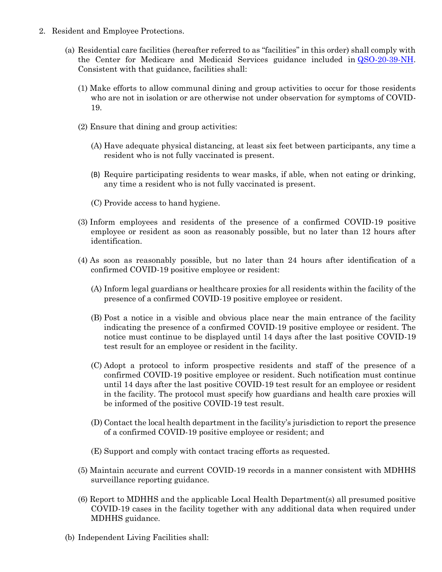- 2. Resident and Employee Protections.
	- (a) Residential care facilities (hereafter referred to as "facilities" in this order) shall comply with the Center for Medicare and Medicaid Services guidance included in [QSO-20-39-NH.](https://www.cms.gov/files/document/qso-20-39-nh-revised.pdf) Consistent with that guidance, facilities shall:
		- (1) Make efforts to allow communal dining and group activities to occur for those residents who are not in isolation or are otherwise not under observation for symptoms of COVID-19.
		- (2) Ensure that dining and group activities:
			- (A) Have adequate physical distancing, at least six feet between participants, any time a resident who is not fully vaccinated is present.
			- (B) Require participating residents to wear masks, if able, when not eating or drinking, any time a resident who is not fully vaccinated is present.
			- (C) Provide access to hand hygiene.
		- (3) Inform employees and residents of the presence of a confirmed COVID-19 positive employee or resident as soon as reasonably possible, but no later than 12 hours after identification.
		- (4) As soon as reasonably possible, but no later than 24 hours after identification of a confirmed COVID-19 positive employee or resident:
			- (A) Inform legal guardians or healthcare proxies for all residents within the facility of the presence of a confirmed COVID-19 positive employee or resident.
			- (B) Post a notice in a visible and obvious place near the main entrance of the facility indicating the presence of a confirmed COVID-19 positive employee or resident. The notice must continue to be displayed until 14 days after the last positive COVID-19 test result for an employee or resident in the facility.
			- (C) Adopt a protocol to inform prospective residents and staff of the presence of a confirmed COVID-19 positive employee or resident. Such notification must continue until 14 days after the last positive COVID-19 test result for an employee or resident in the facility. The protocol must specify how guardians and health care proxies will be informed of the positive COVID-19 test result.
			- (D) Contact the local health department in the facility's jurisdiction to report the presence of a confirmed COVID-19 positive employee or resident; and
			- (E) Support and comply with contact tracing efforts as requested.
		- (5) Maintain accurate and current COVID-19 records in a manner consistent with MDHHS surveillance reporting guidance.
		- (6) Report to MDHHS and the applicable Local Health Department(s) all presumed positive COVID-19 cases in the facility together with any additional data when required under MDHHS guidance.
	- (b) Independent Living Facilities shall: